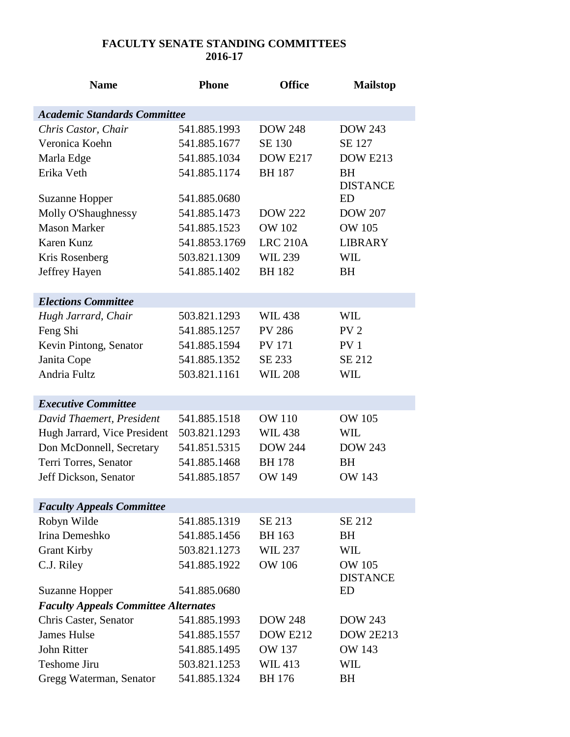## **FACULTY SENATE STANDING COMMITTEES 2016-17**

| <b>Name</b>                                 | <b>Phone</b>  | <b>Office</b>   | <b>Mailstop</b>                  |
|---------------------------------------------|---------------|-----------------|----------------------------------|
| <b>Academic Standards Committee</b>         |               |                 |                                  |
| Chris Castor, Chair                         | 541.885.1993  | <b>DOW 248</b>  | <b>DOW 243</b>                   |
| Veronica Koehn                              | 541.885.1677  | <b>SE 130</b>   | SE 127                           |
| Marla Edge                                  | 541.885.1034  | <b>DOW E217</b> | DOW E213                         |
| Erika Veth                                  | 541.885.1174  | <b>BH</b> 187   | <b>BH</b>                        |
|                                             |               |                 | <b>DISTANCE</b>                  |
| <b>Suzanne Hopper</b>                       | 541.885.0680  |                 | ED                               |
| Molly O'Shaughnessy                         | 541.885.1473  | <b>DOW 222</b>  | <b>DOW 207</b>                   |
| <b>Mason Marker</b>                         | 541.885.1523  | <b>OW 102</b>   | <b>OW 105</b>                    |
| Karen Kunz                                  | 541.8853.1769 | <b>LRC 210A</b> | <b>LIBRARY</b>                   |
| Kris Rosenberg                              | 503.821.1309  | <b>WIL 239</b>  | WIL                              |
| Jeffrey Hayen                               | 541.885.1402  | <b>BH182</b>    | <b>BH</b>                        |
|                                             |               |                 |                                  |
| <b>Elections Committee</b>                  |               |                 |                                  |
| Hugh Jarrard, Chair                         | 503.821.1293  | <b>WIL438</b>   | <b>WIL</b>                       |
| Feng Shi                                    | 541.885.1257  | <b>PV 286</b>   | PV <sub>2</sub>                  |
| Kevin Pintong, Senator                      | 541.885.1594  | <b>PV 171</b>   | PV <sub>1</sub>                  |
| Janita Cope                                 | 541.885.1352  | SE 233          | SE 212                           |
| Andria Fultz                                | 503.821.1161  | <b>WIL 208</b>  | WIL                              |
|                                             |               |                 |                                  |
| <b>Executive Committee</b>                  |               |                 |                                  |
| David Thaemert, President                   | 541.885.1518  | <b>OW 110</b>   | <b>OW 105</b>                    |
| Hugh Jarrard, Vice President                | 503.821.1293  | <b>WIL438</b>   | WIL                              |
| Don McDonnell, Secretary                    | 541.851.5315  | <b>DOW 244</b>  | <b>DOW 243</b>                   |
| Terri Torres, Senator                       | 541.885.1468  | <b>BH</b> 178   | <b>BH</b>                        |
| Jeff Dickson, Senator                       | 541.885.1857  | <b>OW 149</b>   | <b>OW 143</b>                    |
|                                             |               |                 |                                  |
| <b>Faculty Appeals Committee</b>            |               |                 |                                  |
| Robyn Wilde                                 | 541.885.1319  | SE 213          | SE 212                           |
| Irina Demeshko                              | 541.885.1456  | <b>BH</b> 163   | <b>BH</b>                        |
| <b>Grant Kirby</b>                          | 503.821.1273  | WIL 237         | WIL                              |
| C.J. Riley                                  | 541.885.1922  | <b>OW 106</b>   | <b>OW 105</b><br><b>DISTANCE</b> |
| <b>Suzanne Hopper</b>                       | 541.885.0680  |                 | ED                               |
| <b>Faculty Appeals Committee Alternates</b> |               |                 |                                  |
| Chris Caster, Senator                       | 541.885.1993  | <b>DOW 248</b>  | <b>DOW 243</b>                   |
| <b>James Hulse</b>                          | 541.885.1557  | <b>DOW E212</b> | <b>DOW 2E213</b>                 |
| John Ritter                                 | 541.885.1495  | <b>OW 137</b>   | OW 143                           |
| Teshome Jiru                                | 503.821.1253  | WIL 413         | WIL                              |
| Gregg Waterman, Senator                     | 541.885.1324  | <b>BH</b> 176   | <b>BH</b>                        |